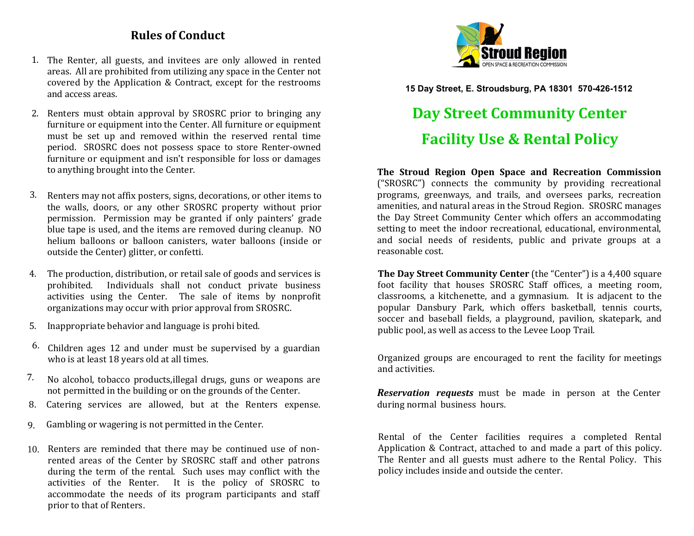# **Rules of Conduct**

- 1. The Renter, all guests, and invitees are only allowed in rented areas. All are prohibited from utilizing any space in the Center not covered by the Application & Contract, except for the restrooms and access areas.
- 2. Renters must obtain approval by SROSRC prior to bringing any furniture or equipment into the Center. All furniture or equipment must be set up and removed within the reserved rental time period. SROSRC does not possess space to store Renter-owned furniture or equipment and isn't responsible for loss or damages to anything brought into the Center.
- 3. Renters may not affix posters, signs, decorations, or other items to the walls, doors, or any other SROSRC property without prior permission. Permission may be granted if only painters' grade blue tape is used, and the items are removed during cleanup. NO helium balloons or balloon canisters, water balloons (inside or outside the Center) glitter, or confetti.
- 4. The production, distribution, or retail sale of goods and services is prohibited. Individuals shall not conduct private business activities using the Center. The sale of items by nonprofit organizations may occur with prior approval from SROSRC.
- 5. Inappropriate behavior and language is prohi bited.
- $6.$  Children ages 12 and under must be supervised by a guardian who is at least 18 years old at all times.
- 7. No alcohol, tobacco products,illegal drugs, guns or weapons are not permitted in the building or on the grounds of the Center.
- 8. Catering services are allowed, but at the Renters expense.
- 9. Gambling or wagering is not permitted in the Center.
- 10. Renters are reminded that there may be continued use of nonrented areas of the Center by SROSRC staff and other patrons during the term of the rental. Such uses may conflict with the activities of the Renter. It is the policy of SROSRC to accommodate the needs of its program participants and staff prior to that of Renters.



**15 Day Street, E. Stroudsburg, PA 18301 570-426-1512**

# **Day Street Community Center Facility Use & Rental Policy**

**The Stroud Region Open Space and Recreation Commission**  ("SROSRC") connects the community by providing recreational programs, greenways, and trails, and oversees parks, recreation amenities, and natural areas in the Stroud Region. SROSRC manages the Day Street Community Center which offers an accommodating setting to meet the indoor recreational, educational, environmental, and social needs of residents, public and private groups at a reasonable cost.

**The Day Street Community Center** (the "Center") is a 4,400 square foot facility that houses SROSRC Staff offices, a meeting room, classrooms, a kitchenette, and a gymnasium. It is adjacent to the popular Dansbury Park, which offers basketball, tennis courts, soccer and baseball fields, a playground, pavilion, skatepark, and public pool, as well as access to the Levee Loop Trail.

Organized groups are encouraged to rent the facility for meetings and activities.

*Reservation requests* must be made in person at the Center during normal business hours.

Rental of the Center facilities requires a completed Rental Application & Contract, attached to and made a part of this policy. The Renter and all guests must adhere to the Rental Policy. This policy includes inside and outside the center.